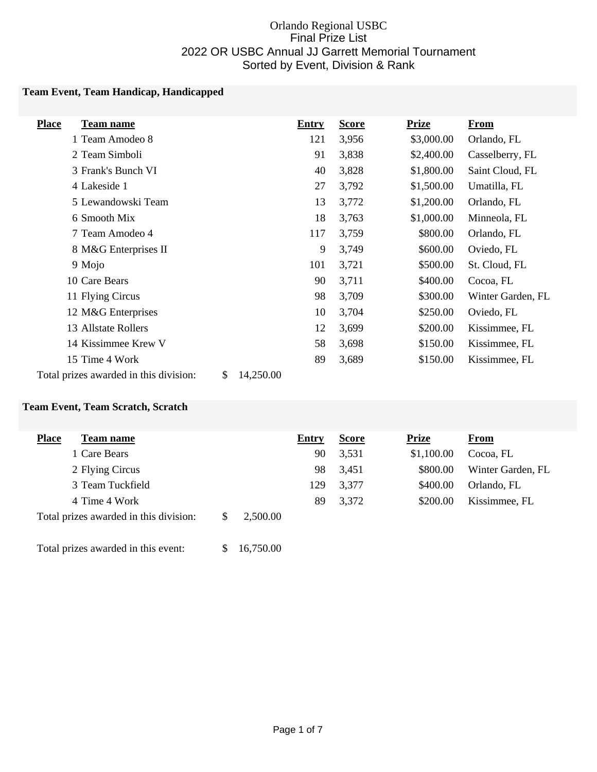#### Orlando Regional USBC Final Prize List 2022 OR USBC Annual JJ Garrett Memorial Tournament Sorted by Event, Division & Rank

#### **Team Event, Team Handicap, Handicapped**

| <b>Place</b><br><b>Team name</b>                          | <b>Entry</b> | <b>Score</b> | <b>Prize</b> | <b>From</b>       |
|-----------------------------------------------------------|--------------|--------------|--------------|-------------------|
| 1 Team Amodeo 8                                           | 121          | 3,956        | \$3,000.00   | Orlando, FL       |
| 2 Team Simboli                                            | 91           | 3,838        | \$2,400.00   | Casselberry, FL   |
| 3 Frank's Bunch VI                                        | 40           | 3,828        | \$1,800.00   | Saint Cloud, FL   |
| 4 Lakeside 1                                              | 27           | 3,792        | \$1,500.00   | Umatilla, FL      |
| 5 Lewandowski Team                                        | 13           | 3,772        | \$1,200.00   | Orlando, FL       |
| 6 Smooth Mix                                              | 18           | 3,763        | \$1,000.00   | Minneola, FL      |
| 7 Team Amodeo 4                                           | 117          | 3,759        | \$800.00     | Orlando, FL       |
| 8 M&G Enterprises II                                      | 9            | 3,749        | \$600.00     | Oviedo, FL        |
| 9 Mojo                                                    | 101          | 3,721        | \$500.00     | St. Cloud, FL     |
| 10 Care Bears                                             | 90           | 3,711        | \$400.00     | Cocoa, FL         |
| 11 Flying Circus                                          | 98           | 3,709        | \$300.00     | Winter Garden, FL |
| 12 M&G Enterprises                                        | 10           | 3,704        | \$250.00     | Oviedo, FL        |
| 13 Allstate Rollers                                       | 12           | 3,699        | \$200.00     | Kissimmee, FL     |
| 14 Kissimmee Krew V                                       | 58           | 3,698        | \$150.00     | Kissimmee, FL     |
| 15 Time 4 Work                                            | 89           | 3,689        | \$150.00     | Kissimmee, FL     |
| Total prizes awarded in this division:<br>\$<br>14,250.00 |              |              |              |                   |

#### **Team Event, Team Scratch, Scratch**

| <b>Place</b><br><b>Team name</b>       |     |          | Entry | <b>Score</b> | <b>Prize</b> | From              |
|----------------------------------------|-----|----------|-------|--------------|--------------|-------------------|
| 1 Care Bears                           |     |          | 90    | 3,531        | \$1,100.00   | Cocoa, FL         |
| 2 Flying Circus                        |     |          | 98    | 3,451        | \$800.00     | Winter Garden, FL |
| 3 Team Tuckfield                       |     |          | 129   | 3,377        | \$400.00     | Orlando, FL       |
| 4 Time 4 Work                          |     |          | 89    | 3,372        | \$200.00     | Kissimmee, FL     |
| Total prizes awarded in this division: | \$. | 2,500.00 |       |              |              |                   |

Total prizes awarded in this event: \$ 16,750.00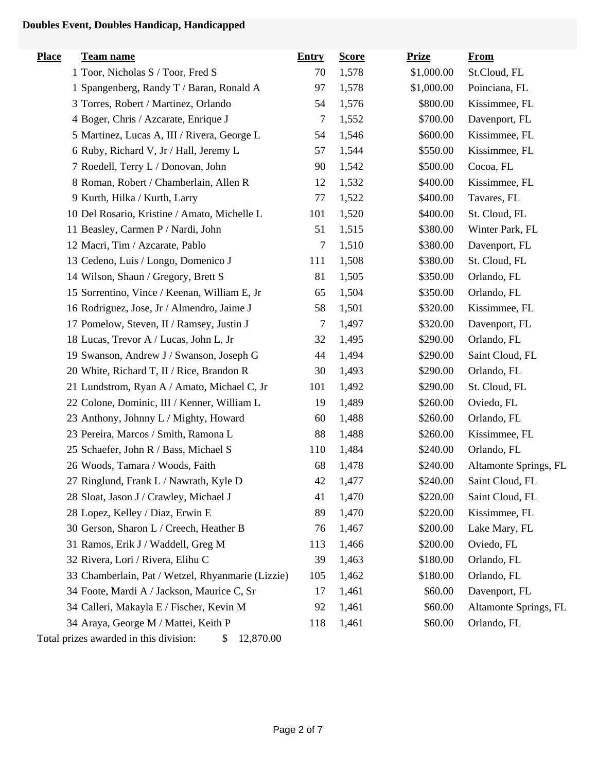# **Doubles Event, Doubles Handicap, Handicapped**

| <b>Place</b> | <b>Team name</b>                                          | <b>Entry</b> | <b>Score</b> | <b>Prize</b> | <b>From</b>           |
|--------------|-----------------------------------------------------------|--------------|--------------|--------------|-----------------------|
|              | 1 Toor, Nicholas S / Toor, Fred S                         | 70           | 1,578        | \$1,000.00   | St.Cloud, FL          |
|              | 1 Spangenberg, Randy T / Baran, Ronald A                  | 97           | 1,578        | \$1,000.00   | Poinciana, FL         |
|              | 3 Torres, Robert / Martinez, Orlando                      | 54           | 1,576        | \$800.00     | Kissimmee, FL         |
|              | 4 Boger, Chris / Azcarate, Enrique J                      | 7            | 1,552        | \$700.00     | Davenport, FL         |
|              | 5 Martinez, Lucas A, III / Rivera, George L               | 54           | 1,546        | \$600.00     | Kissimmee, FL         |
|              | 6 Ruby, Richard V, Jr / Hall, Jeremy L                    | 57           | 1,544        | \$550.00     | Kissimmee, FL         |
|              | 7 Roedell, Terry L / Donovan, John                        | 90           | 1,542        | \$500.00     | Cocoa, FL             |
|              | 8 Roman, Robert / Chamberlain, Allen R                    | 12           | 1,532        | \$400.00     | Kissimmee, FL         |
|              | 9 Kurth, Hilka / Kurth, Larry                             | 77           | 1,522        | \$400.00     | Tavares, FL           |
|              | 10 Del Rosario, Kristine / Amato, Michelle L              | 101          | 1,520        | \$400.00     | St. Cloud, FL         |
|              | 11 Beasley, Carmen P / Nardi, John                        | 51           | 1,515        | \$380.00     | Winter Park, FL       |
|              | 12 Macri, Tim / Azcarate, Pablo                           | 7            | 1,510        | \$380.00     | Davenport, FL         |
|              | 13 Cedeno, Luis / Longo, Domenico J                       | 111          | 1,508        | \$380.00     | St. Cloud, FL         |
|              | 14 Wilson, Shaun / Gregory, Brett S                       | 81           | 1,505        | \$350.00     | Orlando, FL           |
|              | 15 Sorrentino, Vince / Keenan, William E, Jr              | 65           | 1,504        | \$350.00     | Orlando, FL           |
|              | 16 Rodriguez, Jose, Jr / Almendro, Jaime J                | 58           | 1,501        | \$320.00     | Kissimmee, FL         |
|              | 17 Pomelow, Steven, II / Ramsey, Justin J                 | 7            | 1,497        | \$320.00     | Davenport, FL         |
|              | 18 Lucas, Trevor A / Lucas, John L, Jr                    | 32           | 1,495        | \$290.00     | Orlando, FL           |
|              | 19 Swanson, Andrew J / Swanson, Joseph G                  | 44           | 1,494        | \$290.00     | Saint Cloud, FL       |
|              | 20 White, Richard T, II / Rice, Brandon R                 | 30           | 1,493        | \$290.00     | Orlando, FL           |
|              | 21 Lundstrom, Ryan A / Amato, Michael C, Jr               | 101          | 1,492        | \$290.00     | St. Cloud, FL         |
|              | 22 Colone, Dominic, III / Kenner, William L               | 19           | 1,489        | \$260.00     | Oviedo, FL            |
|              | 23 Anthony, Johnny L / Mighty, Howard                     | 60           | 1,488        | \$260.00     | Orlando, FL           |
|              | 23 Pereira, Marcos / Smith, Ramona L                      | 88           | 1,488        | \$260.00     | Kissimmee, FL         |
|              | 25 Schaefer, John R / Bass, Michael S                     | 110          | 1,484        | \$240.00     | Orlando, FL           |
|              | 26 Woods, Tamara / Woods, Faith                           | 68           | 1,478        | \$240.00     | Altamonte Springs, FL |
|              | 27 Ringlund, Frank L / Nawrath, Kyle D                    | 42           | 1,477        | \$240.00     | Saint Cloud, FL       |
|              | 28 Sloat, Jason J / Crawley, Michael J                    | 41           | 1,470        | \$220.00     | Saint Cloud, FL       |
|              | 28 Lopez, Kelley / Diaz, Erwin E                          | 89           | 1,470        | \$220.00     | Kissimmee, FL         |
|              | 30 Gerson, Sharon L / Creech, Heather B                   | 76           | 1,467        | \$200.00     | Lake Mary, FL         |
|              | 31 Ramos, Erik J / Waddell, Greg M                        | 113          | 1,466        | \$200.00     | Oviedo, FL            |
|              | 32 Rivera, Lori / Rivera, Elihu C                         | 39           | 1,463        | \$180.00     | Orlando, FL           |
|              | 33 Chamberlain, Pat / Wetzel, Rhyanmarie (Lizzie)         | 105          | 1,462        | \$180.00     | Orlando, FL           |
|              | 34 Foote, Mardi A / Jackson, Maurice C, Sr                | 17           | 1,461        | \$60.00      | Davenport, FL         |
|              | 34 Calleri, Makayla E / Fischer, Kevin M                  | 92           | 1,461        | \$60.00      | Altamonte Springs, FL |
|              | 34 Araya, George M / Mattei, Keith P                      | 118          | 1,461        | \$60.00      | Orlando, FL           |
|              | Total prizes awarded in this division:<br>12,870.00<br>\$ |              |              |              |                       |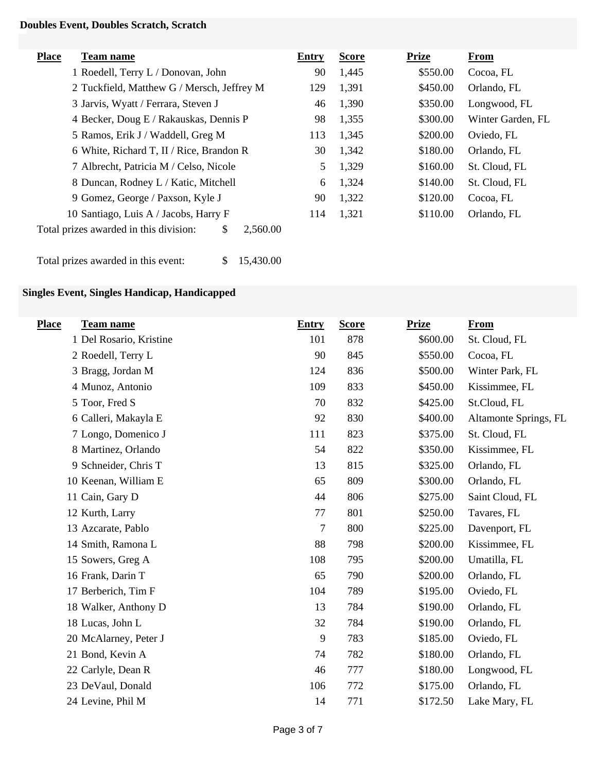### **Doubles Event, Doubles Scratch, Scratch**

| <b>Place</b> | <b>Team name</b>                                         | Entry | <b>Score</b> | <b>Prize</b> | From              |
|--------------|----------------------------------------------------------|-------|--------------|--------------|-------------------|
|              | 1 Roedell, Terry L / Donovan, John                       | 90    | 1,445        | \$550.00     | Cocoa, FL         |
|              | 2 Tuckfield, Matthew G / Mersch, Jeffrey M               | 129   | 1,391        | \$450.00     | Orlando, FL       |
|              | 3 Jarvis, Wyatt / Ferrara, Steven J                      | 46    | 1,390        | \$350.00     | Longwood, FL      |
|              | 4 Becker, Doug E / Rakauskas, Dennis P                   | 98    | 1,355        | \$300.00     | Winter Garden, FL |
|              | 5 Ramos, Erik J / Waddell, Greg M                        | 113   | 1,345        | \$200.00     | Oviedo, FL        |
|              | 6 White, Richard T, II / Rice, Brandon R                 | 30    | 1,342        | \$180.00     | Orlando, FL       |
|              | 7 Albrecht, Patricia M / Celso, Nicole                   | 5     | 1,329        | \$160.00     | St. Cloud, FL     |
|              | 8 Duncan, Rodney L / Katic, Mitchell                     | 6     | 1,324        | \$140.00     | St. Cloud, FL     |
|              | 9 Gomez, George / Paxson, Kyle J                         | 90    | 1,322        | \$120.00     | Cocoa, FL         |
|              | 10 Santiago, Luis A / Jacobs, Harry F                    | 114   | 1,321        | \$110.00     | Orlando, FL       |
|              | Total prizes awarded in this division:<br>\$<br>2,560.00 |       |              |              |                   |

Total prizes awarded in this event: \$ 15,430.00

# **Singles Event, Singles Handicap, Handicapped**

| <b>Entry</b> | <b>Score</b> | <b>Prize</b> | <b>From</b>           |
|--------------|--------------|--------------|-----------------------|
| 101          | 878          | \$600.00     | St. Cloud, FL         |
| 90           | 845          | \$550.00     | Cocoa, FL             |
| 124          | 836          | \$500.00     | Winter Park, FL       |
| 109          | 833          | \$450.00     | Kissimmee, FL         |
| 70           | 832          | \$425.00     | St.Cloud, FL          |
| 92           | 830          | \$400.00     | Altamonte Springs, FL |
| 111          | 823          | \$375.00     | St. Cloud, FL         |
| 54           | 822          | \$350.00     | Kissimmee, FL         |
| 13           | 815          | \$325.00     | Orlando, FL           |
| 65           | 809          | \$300.00     | Orlando, FL           |
| 44           | 806          | \$275.00     | Saint Cloud, FL       |
| 77           | 801          | \$250.00     | Tavares, FL           |
| $\tau$       | 800          | \$225.00     | Davenport, FL         |
| 88           | 798          | \$200.00     | Kissimmee, FL         |
| 108          | 795          | \$200.00     | Umatilla, FL          |
| 65           | 790          | \$200.00     | Orlando, FL           |
| 104          | 789          | \$195.00     | Oviedo, FL            |
| 13           | 784          | \$190.00     | Orlando, FL           |
| 32           | 784          | \$190.00     | Orlando, FL           |
| 9            | 783          | \$185.00     | Oviedo, FL            |
| 74           | 782          | \$180.00     | Orlando, FL           |
| 46           | 777          | \$180.00     | Longwood, FL          |
| 106          | 772          | \$175.00     | Orlando, FL           |
| 14           | 771          | \$172.50     | Lake Mary, FL         |
|              |              |              |                       |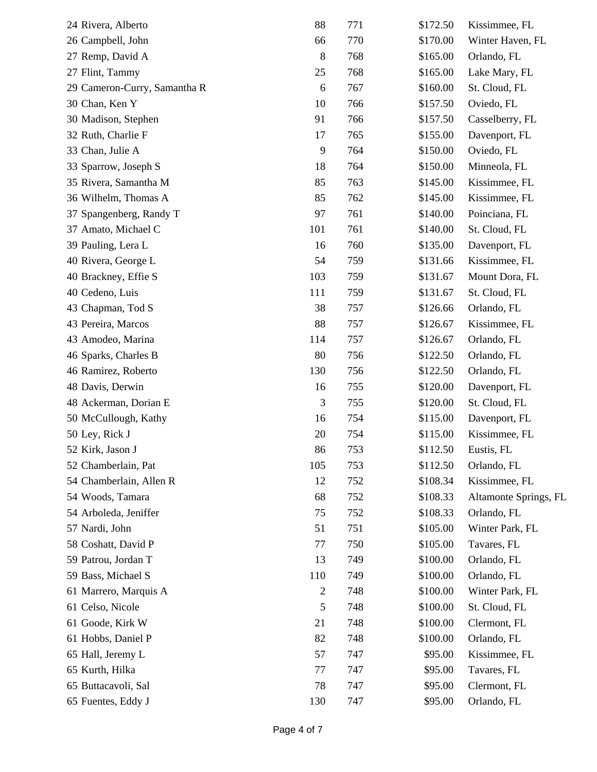| 24 Rivera, Alberto           | 88             | 771 | \$172.50 | Kissimmee, FL         |
|------------------------------|----------------|-----|----------|-----------------------|
| 26 Campbell, John            | 66             | 770 | \$170.00 | Winter Haven, FL      |
| 27 Remp, David A             | 8              | 768 | \$165.00 | Orlando, FL           |
| 27 Flint, Tammy              | 25             | 768 | \$165.00 | Lake Mary, FL         |
| 29 Cameron-Curry, Samantha R | 6              | 767 | \$160.00 | St. Cloud, FL         |
| 30 Chan, Ken Y               | 10             | 766 | \$157.50 | Oviedo, FL            |
| 30 Madison, Stephen          | 91             | 766 | \$157.50 | Casselberry, FL       |
| 32 Ruth, Charlie F           | 17             | 765 | \$155.00 | Davenport, FL         |
| 33 Chan, Julie A             | 9              | 764 | \$150.00 | Oviedo, FL            |
| 33 Sparrow, Joseph S         | 18             | 764 | \$150.00 | Minneola, FL          |
| 35 Rivera, Samantha M        | 85             | 763 | \$145.00 | Kissimmee, FL         |
| 36 Wilhelm, Thomas A         | 85             | 762 | \$145.00 | Kissimmee, FL         |
| 37 Spangenberg, Randy T      | 97             | 761 | \$140.00 | Poinciana, FL         |
| 37 Amato, Michael C          | 101            | 761 | \$140.00 | St. Cloud, FL         |
| 39 Pauling, Lera L           | 16             | 760 | \$135.00 | Davenport, FL         |
| 40 Rivera, George L          | 54             | 759 | \$131.66 | Kissimmee, FL         |
| 40 Brackney, Effie S         | 103            | 759 | \$131.67 | Mount Dora, FL        |
| 40 Cedeno, Luis              | 111            | 759 | \$131.67 | St. Cloud, FL         |
| 43 Chapman, Tod S            | 38             | 757 | \$126.66 | Orlando, FL           |
| 43 Pereira, Marcos           | 88             | 757 | \$126.67 | Kissimmee, FL         |
| 43 Amodeo, Marina            | 114            | 757 | \$126.67 | Orlando, FL           |
| 46 Sparks, Charles B         | 80             | 756 | \$122.50 | Orlando, FL           |
| 46 Ramirez, Roberto          | 130            | 756 | \$122.50 | Orlando, FL           |
| 48 Davis, Derwin             | 16             | 755 | \$120.00 | Davenport, FL         |
| 48 Ackerman, Dorian E        | 3              | 755 | \$120.00 | St. Cloud, FL         |
| 50 McCullough, Kathy         | 16             | 754 | \$115.00 | Davenport, FL         |
| 50 Ley, Rick J               | 20             | 754 | \$115.00 | Kissimmee, FL         |
| 52 Kirk, Jason J             | 86             | 753 | \$112.50 | Eustis, FL            |
| 52 Chamberlain, Pat          | 105            | 753 | \$112.50 | Orlando, FL           |
| 54 Chamberlain, Allen R      | 12             | 752 | \$108.34 | Kissimmee, FL         |
| 54 Woods, Tamara             | 68             | 752 | \$108.33 | Altamonte Springs, FL |
| 54 Arboleda, Jeniffer        | 75             | 752 | \$108.33 | Orlando, FL           |
| 57 Nardi, John               | 51             | 751 | \$105.00 | Winter Park, FL       |
| 58 Coshatt, David P          | 77             | 750 | \$105.00 | Tavares, FL           |
| 59 Patrou, Jordan T          | 13             | 749 | \$100.00 | Orlando, FL           |
| 59 Bass, Michael S           | 110            | 749 | \$100.00 | Orlando, FL           |
| 61 Marrero, Marquis A        | $\overline{c}$ | 748 | \$100.00 | Winter Park, FL       |
| 61 Celso, Nicole             | 5              | 748 | \$100.00 | St. Cloud, FL         |
| 61 Goode, Kirk W             | 21             | 748 | \$100.00 | Clermont, FL          |
| 61 Hobbs, Daniel P           | 82             | 748 | \$100.00 | Orlando, FL           |
| 65 Hall, Jeremy L            | 57             | 747 | \$95.00  | Kissimmee, FL         |
| 65 Kurth, Hilka              | 77             | 747 | \$95.00  | Tavares, FL           |
| 65 Buttacavoli, Sal          | 78             | 747 | \$95.00  | Clermont, FL          |
| 65 Fuentes, Eddy J           | 130            | 747 | \$95.00  | Orlando, FL           |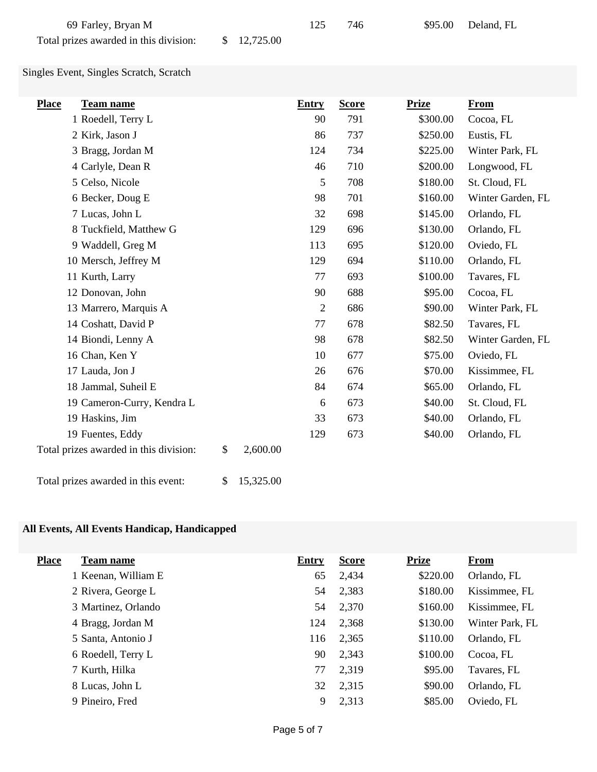| 69 Farley, Bryan M                     |             | 746 | \$95.00 Deland, FL |
|----------------------------------------|-------------|-----|--------------------|
| Total prizes awarded in this division: | \$12,725.00 |     |                    |

Singles Event, Singles Scratch, Scratch

| <b>Place</b><br><b>Team name</b>                         | <b>Entry</b>   | <b>Score</b> | <b>Prize</b> | <b>From</b>       |
|----------------------------------------------------------|----------------|--------------|--------------|-------------------|
| 1 Roedell, Terry L                                       | 90             | 791          | \$300.00     | Cocoa, FL         |
| 2 Kirk, Jason J                                          | 86             | 737          | \$250.00     | Eustis, FL        |
| 3 Bragg, Jordan M                                        | 124            | 734          | \$225.00     | Winter Park, FL   |
| 4 Carlyle, Dean R                                        | 46             | 710          | \$200.00     | Longwood, FL      |
| 5 Celso, Nicole                                          | 5              | 708          | \$180.00     | St. Cloud, FL     |
| 6 Becker, Doug E                                         | 98             | 701          | \$160.00     | Winter Garden, FL |
| 7 Lucas, John L                                          | 32             | 698          | \$145.00     | Orlando, FL       |
| 8 Tuckfield, Matthew G                                   | 129            | 696          | \$130.00     | Orlando, FL       |
| 9 Waddell, Greg M                                        | 113            | 695          | \$120.00     | Oviedo, FL        |
| 10 Mersch, Jeffrey M                                     | 129            | 694          | \$110.00     | Orlando, FL       |
| 11 Kurth, Larry                                          | 77             | 693          | \$100.00     | Tavares, FL       |
| 12 Donovan, John                                         | 90             | 688          | \$95.00      | Cocoa, FL         |
| 13 Marrero, Marquis A                                    | $\overline{2}$ | 686          | \$90.00      | Winter Park, FL   |
| 14 Coshatt, David P                                      | 77             | 678          | \$82.50      | Tavares, FL       |
| 14 Biondi, Lenny A                                       | 98             | 678          | \$82.50      | Winter Garden, FL |
| 16 Chan, Ken Y                                           | 10             | 677          | \$75.00      | Oviedo, FL        |
| 17 Lauda, Jon J                                          | 26             | 676          | \$70.00      | Kissimmee, FL     |
| 18 Jammal, Suheil E                                      | 84             | 674          | \$65.00      | Orlando, FL       |
| 19 Cameron-Curry, Kendra L                               | 6              | 673          | \$40.00      | St. Cloud, FL     |
| 19 Haskins, Jim                                          | 33             | 673          | \$40.00      | Orlando, FL       |
| 19 Fuentes, Eddy                                         | 129            | 673          | \$40.00      | Orlando, FL       |
| Total prizes awarded in this division:<br>\$<br>2,600.00 |                |              |              |                   |

Total prizes awarded in this event: \$ 15,325.00

### **All Events, All Events Handicap, Handicapped**

| <b>Place</b><br><b>Team name</b> | <b>Entry</b> | <b>Score</b> | <b>Prize</b> | <b>From</b>     |
|----------------------------------|--------------|--------------|--------------|-----------------|
| 1 Keenan, William E              | 65           | 2,434        | \$220.00     | Orlando, FL     |
| 2 Rivera, George L               | 54           | 2,383        | \$180.00     | Kissimmee, FL   |
| 3 Martinez, Orlando              | 54           | 2,370        | \$160.00     | Kissimmee, FL   |
| 4 Bragg, Jordan M                | 124          | 2,368        | \$130.00     | Winter Park, FL |
| 5 Santa, Antonio J               | 116          | 2,365        | \$110.00     | Orlando, FL     |
| 6 Roedell, Terry L               | 90           | 2,343        | \$100.00     | Cocoa, FL       |
| 7 Kurth, Hilka                   | 77           | 2,319        | \$95.00      | Tavares, FL     |
| 8 Lucas, John L                  | 32           | 2,315        | \$90.00      | Orlando, FL     |
| 9 Pineiro, Fred                  | 9            | 2,313        | \$85.00      | Oviedo, FL      |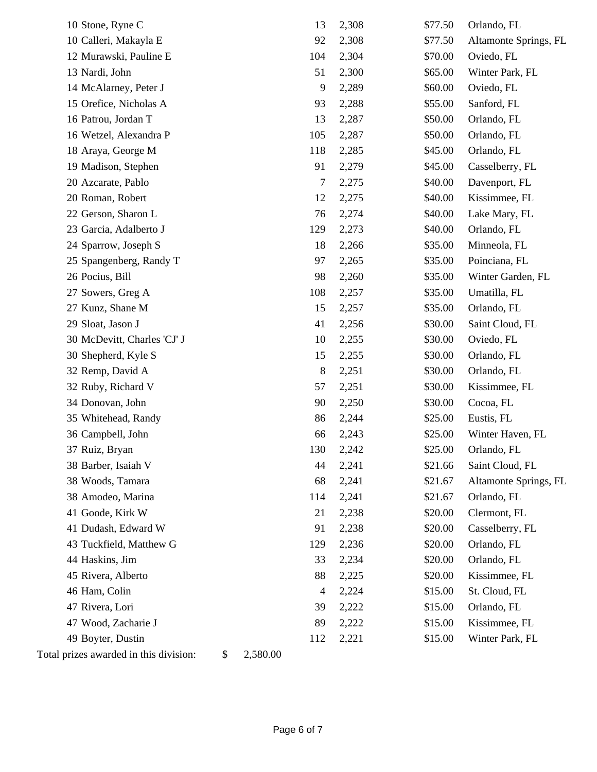| 10 Stone, Ryne C                                         | 13             | 2,308 | \$77.50 | Orlando, FL           |
|----------------------------------------------------------|----------------|-------|---------|-----------------------|
| 10 Calleri, Makayla E                                    | 92             | 2,308 | \$77.50 | Altamonte Springs, FL |
| 12 Murawski, Pauline E                                   | 104            | 2,304 | \$70.00 | Oviedo, FL            |
| 13 Nardi, John                                           | 51             | 2,300 | \$65.00 | Winter Park, FL       |
| 14 McAlarney, Peter J                                    | 9              | 2,289 | \$60.00 | Oviedo, FL            |
| 15 Orefice, Nicholas A                                   | 93             | 2,288 | \$55.00 | Sanford, FL           |
| 16 Patrou, Jordan T                                      | 13             | 2,287 | \$50.00 | Orlando, FL           |
| 16 Wetzel, Alexandra P                                   | 105            | 2,287 | \$50.00 | Orlando, FL           |
| 18 Araya, George M                                       | 118            | 2,285 | \$45.00 | Orlando, FL           |
| 19 Madison, Stephen                                      | 91             | 2,279 | \$45.00 | Casselberry, FL       |
| 20 Azcarate, Pablo                                       | $\overline{7}$ | 2,275 | \$40.00 | Davenport, FL         |
| 20 Roman, Robert                                         | 12             | 2,275 | \$40.00 | Kissimmee, FL         |
| 22 Gerson, Sharon L                                      | 76             | 2,274 | \$40.00 | Lake Mary, FL         |
| 23 Garcia, Adalberto J                                   | 129            | 2,273 | \$40.00 | Orlando, FL           |
| 24 Sparrow, Joseph S                                     | 18             | 2,266 | \$35.00 | Minneola, FL          |
| 25 Spangenberg, Randy T                                  | 97             | 2,265 | \$35.00 | Poinciana, FL         |
| 26 Pocius, Bill                                          | 98             | 2,260 | \$35.00 | Winter Garden, FL     |
| 27 Sowers, Greg A                                        | 108            | 2,257 | \$35.00 | Umatilla, FL          |
| 27 Kunz, Shane M                                         | 15             | 2,257 | \$35.00 | Orlando, FL           |
| 29 Sloat, Jason J                                        | 41             | 2,256 | \$30.00 | Saint Cloud, FL       |
| 30 McDevitt, Charles 'CJ' J                              | 10             | 2,255 | \$30.00 | Oviedo, FL            |
| 30 Shepherd, Kyle S                                      | 15             | 2,255 | \$30.00 | Orlando, FL           |
| 32 Remp, David A                                         | 8              | 2,251 | \$30.00 | Orlando, FL           |
| 32 Ruby, Richard V                                       | 57             | 2,251 | \$30.00 | Kissimmee, FL         |
| 34 Donovan, John                                         | 90             | 2,250 | \$30.00 | Cocoa, FL             |
| 35 Whitehead, Randy                                      | 86             | 2,244 | \$25.00 | Eustis, FL            |
| 36 Campbell, John                                        | 66             | 2,243 | \$25.00 | Winter Haven, FL      |
| 37 Ruiz, Bryan                                           | 130            | 2,242 | \$25.00 | Orlando, FL           |
| 38 Barber, Isaiah V                                      | 44             | 2,241 | \$21.66 | Saint Cloud, FL       |
| 38 Woods, Tamara                                         | 68             | 2,241 | \$21.67 | Altamonte Springs, FL |
| 38 Amodeo, Marina                                        | 114            | 2,241 | \$21.67 | Orlando, FL           |
| 41 Goode, Kirk W                                         | 21             | 2,238 | \$20.00 | Clermont, FL          |
| 41 Dudash, Edward W                                      | 91             | 2,238 | \$20.00 | Casselberry, FL       |
| 43 Tuckfield, Matthew G                                  | 129            | 2,236 | \$20.00 | Orlando, FL           |
| 44 Haskins, Jim                                          | 33             | 2,234 | \$20.00 | Orlando, FL           |
| 45 Rivera, Alberto                                       | 88             | 2,225 | \$20.00 | Kissimmee, FL         |
| 46 Ham, Colin                                            | $\overline{4}$ | 2,224 | \$15.00 | St. Cloud, FL         |
| 47 Rivera, Lori                                          | 39             | 2,222 | \$15.00 | Orlando, FL           |
| 47 Wood, Zacharie J                                      | 89             | 2,222 | \$15.00 | Kissimmee, FL         |
| 49 Boyter, Dustin                                        | 112            | 2,221 | \$15.00 | Winter Park, FL       |
| 2,580.00<br>Total prizes awarded in this division:<br>\$ |                |       |         |                       |